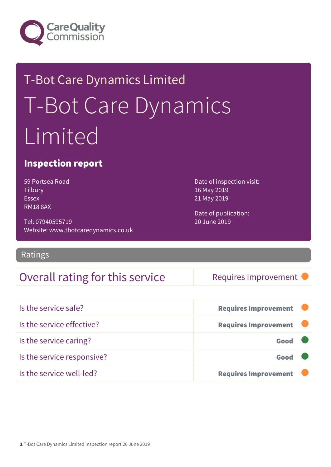

# T-Bot Care Dynamics Limited T-Bot Care Dynamics Limited

#### Inspection report

59 Portsea Road **Tilbury** Essex RM18 8AX

Tel: 07940595719 Website: www.tbotcaredynamics.co.uk

#### Ratings

#### Overall rating for this service Requires Improvement

Date of inspection visit: 16 May 2019 21 May 2019

Date of publication: 20 June 2019

| Is the service safe?       | <b>Requires Improvement</b> |
|----------------------------|-----------------------------|
| Is the service effective?  | <b>Requires Improvement</b> |
| Is the service caring?     | Good                        |
| Is the service responsive? | Good                        |
| Is the service well-led?   | <b>Requires Improvement</b> |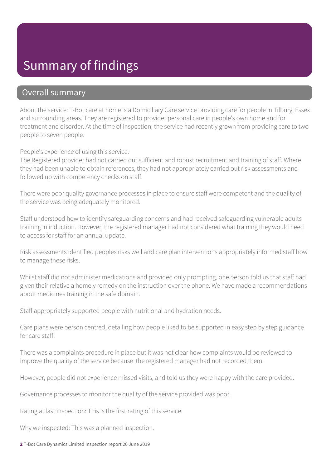### Summary of findings

#### Overall summary

About the service: T-Bot care at home is a Domiciliary Care service providing care for people in Tilbury, Essex and surrounding areas. They are registered to provider personal care in people's own home and for treatment and disorder. At the time of inspection, the service had recently grown from providing care to two people to seven people.

People's experience of using this service:

The Registered provider had not carried out sufficient and robust recruitment and training of staff. Where they had been unable to obtain references, they had not appropriately carried out risk assessments and followed up with competency checks on staff.

There were poor quality governance processes in place to ensure staff were competent and the quality of the service was being adequately monitored.

Staff understood how to identify safeguarding concerns and had received safeguarding vulnerable adults training in induction. However, the registered manager had not considered what training they would need to access for staff for an annual update.

Risk assessments identified peoples risks well and care plan interventions appropriately informed staff how to manage these risks.

Whilst staff did not administer medications and provided only prompting, one person told us that staff had given their relative a homely remedy on the instruction over the phone. We have made a recommendations about medicines training in the safe domain.

Staff appropriately supported people with nutritional and hydration needs.

Care plans were person centred, detailing how people liked to be supported in easy step by step guidance for care staff.

There was a complaints procedure in place but it was not clear how complaints would be reviewed to improve the quality of the service because the registered manager had not recorded them.

However, people did not experience missed visits, and told us they were happy with the care provided.

Governance processes to monitor the quality of the service provided was poor.

Rating at last inspection: This is the first rating of this service.

Why we inspected: This was a planned inspection.

2 T-Bot Care Dynamics Limited Inspection report 20 June 2019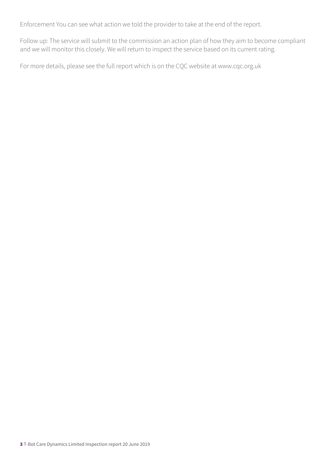Enforcement You can see what action we told the provider to take at the end of the report.

Follow up: The service will submit to the commission an action plan of how they aim to become compliant and we will monitor this closely. We will return to inspect the service based on its current rating.

For more details, please see the full report which is on the CQC website at www.cqc.org.uk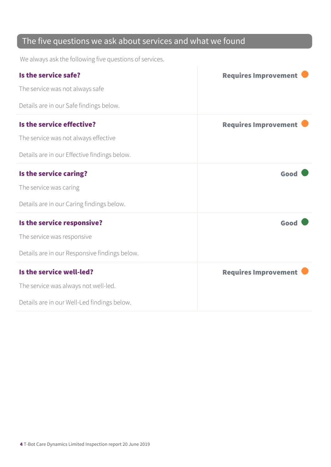#### The five questions we ask about services and what we found

We always ask the following five questions of services.

| Is the service safe?                          | <b>Requires Improvement</b> |
|-----------------------------------------------|-----------------------------|
| The service was not always safe               |                             |
| Details are in our Safe findings below.       |                             |
| Is the service effective?                     | <b>Requires Improvement</b> |
| The service was not always effective          |                             |
| Details are in our Effective findings below.  |                             |
| Is the service caring?                        | Good                        |
| The service was caring                        |                             |
| Details are in our Caring findings below.     |                             |
| Is the service responsive?                    | Good                        |
| The service was responsive                    |                             |
| Details are in our Responsive findings below. |                             |
| Is the service well-led?                      | <b>Requires Improvement</b> |
| The service was always not well-led.          |                             |
| Details are in our Well-Led findings below.   |                             |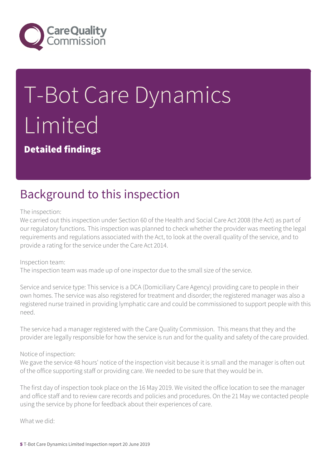

# T-Bot Care Dynamics Limited

Detailed findings

## Background to this inspection

The inspection:

We carried out this inspection under Section 60 of the Health and Social Care Act 2008 (the Act) as part of our regulatory functions. This inspection was planned to check whether the provider was meeting the legal requirements and regulations associated with the Act, to look at the overall quality of the service, and to provide a rating for the service under the Care Act 2014.

Inspection team:

The inspection team was made up of one inspector due to the small size of the service.

Service and service type: This service is a DCA (Domiciliary Care Agency) providing care to people in their own homes. The service was also registered for treatment and disorder; the registered manager was also a registered nurse trained in providing lymphatic care and could be commissioned to support people with this need.

The service had a manager registered with the Care Quality Commission. This means that they and the provider are legally responsible for how the service is run and for the quality and safety of the care provided.

Notice of inspection:

We gave the service 48 hours' notice of the inspection visit because it is small and the manager is often out of the office supporting staff or providing care. We needed to be sure that they would be in.

The first day of inspection took place on the 16 May 2019. We visited the office location to see the manager and office staff and to review care records and policies and procedures. On the 21 May we contacted people using the service by phone for feedback about their experiences of care.

What we did: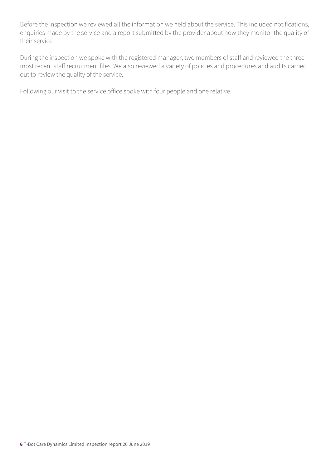Before the inspection we reviewed all the information we held about the service. This included notifications, enquiries made by the service and a report submitted by the provider about how they monitor the quality of their service.

During the inspection we spoke with the registered manager, two members of staff and reviewed the three most recent staff recruitment files. We also reviewed a variety of policies and procedures and audits carried out to review the quality of the service.

Following our visit to the service office spoke with four people and one relative.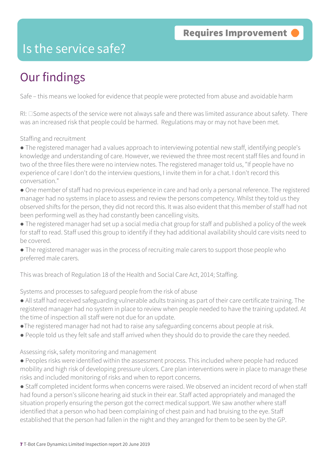#### Is the service safe?

## Our findings

Safe – this means we looked for evidence that people were protected from abuse and avoidable harm

 $RI: \Box$  Some aspects of the service were not always safe and there was limited assurance about safety. There was an increased risk that people could be harmed. Regulations may or may not have been met.

Staffing and recruitment

● The registered manager had a values approach to interviewing potential new staff, identifying people's knowledge and understanding of care. However, we reviewed the three most recent staff files and found in two of the three files there were no interview notes. The registered manager told us, "If people have no experience of care I don't do the interview questions, I invite them in for a chat. I don't record this conversation."

- One member of staff had no previous experience in care and had only a personal reference. The registered manager had no systems in place to assess and review the persons competency. Whilst they told us they observed shifts for the person, they did not record this. It was also evident that this member of staff had not been performing well as they had constantly been cancelling visits.
- The registered manager had set up a social media chat group for staff and published a policy of the week for staff to read. Staff used this group to identify if they had additional availability should care visits need to be covered.
- The registered manager was in the process of recruiting male carers to support those people who preferred male carers.

This was breach of Regulation 18 of the Health and Social Care Act, 2014; Staffing.

Systems and processes to safeguard people from the risk of abuse

- All staff had received safeguarding vulnerable adults training as part of their care certificate training. The registered manager had no system in place to review when people needed to have the training updated. At the time of inspection all staff were not due for an update.
- ●The registered manager had not had to raise any safeguarding concerns about people at risk.
- People told us they felt safe and staff arrived when they should do to provide the care they needed.

Assessing risk, safety monitoring and management

● Peoples risks were identified within the assessment process. This included where people had reduced mobility and high risk of developing pressure ulcers. Care plan interventions were in place to manage these risks and included monitoring of risks and when to report concerns.

● Staff completed incident forms when concerns were raised. We observed an incident record of when staff had found a person's silicone hearing aid stuck in their ear. Staff acted appropriately and managed the situation properly ensuring the person got the correct medical support. We saw another where staff identified that a person who had been complaining of chest pain and had bruising to the eye. Staff established that the person had fallen in the night and they arranged for them to be seen by the GP.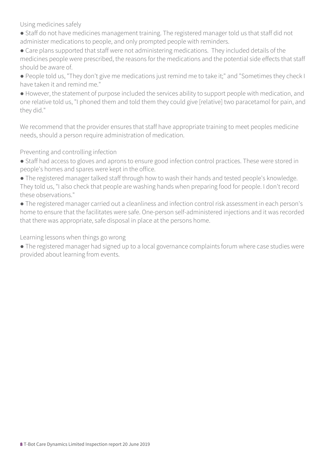Using medicines safely

- Staff do not have medicines management training. The registered manager told us that staff did not administer medications to people, and only prompted people with reminders.
- Care plans supported that staff were not administering medications. They included details of the medicines people were prescribed, the reasons for the medications and the potential side effects that staff should be aware of.
- People told us, "They don't give me medications just remind me to take it;" and "Sometimes they check I have taken it and remind me."
- However, the statement of purpose included the services ability to support people with medication, and one relative told us, "I phoned them and told them they could give [relative] two paracetamol for pain, and they did."

We recommend that the provider ensures that staff have appropriate training to meet peoples medicine needs, should a person require administration of medication.

Preventing and controlling infection

- Staff had access to gloves and aprons to ensure good infection control practices. These were stored in people's homes and spares were kept in the office.
- The registered manager talked staff through how to wash their hands and tested people's knowledge. They told us, "I also check that people are washing hands when preparing food for people. I don't record these observations."
- The registered manager carried out a cleanliness and infection control risk assessment in each person's home to ensure that the facilitates were safe. One-person self-administered injections and it was recorded that there was appropriate, safe disposal in place at the persons home.

Learning lessons when things go wrong

● The registered manager had signed up to a local governance complaints forum where case studies were provided about learning from events.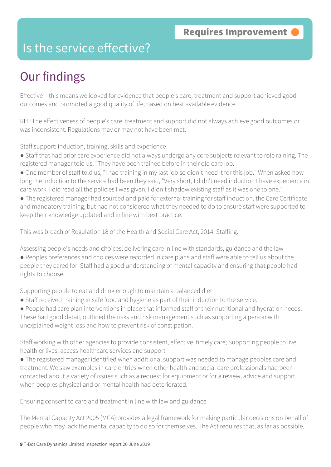#### Is the service effective?

## Our findings

Effective – this means we looked for evidence that people's care, treatment and support achieved good outcomes and promoted a good quality of life, based on best available evidence

 $RI: \Box$  The effectiveness of people's care, treatment and support did not always achieve good outcomes or was inconsistent. Regulations may or may not have been met.

Staff support: induction, training, skills and experience

- Staff that had prior care experience did not always undergo any core subjects relevant to role raining. The registered manager told us, "They have been trained before in their old care job."
- One member of staff told us, "I had training in my last job so didn't need it for this job." When asked how long the induction to the service had been they said, "Very short, I didn't need induction I have experience in care work. I did read all the policies I was given. I didn't shadow existing staff as it was one to one."
- The registered manager had sourced and paid for external training for staff induction, the Care Certificate and mandatory training, but had not considered what they needed to do to ensure staff were supported to keep their knowledge updated and in line with best practice.

This was breach of Regulation 18 of the Health and Social Care Act, 2014; Staffing.

Assessing people's needs and choices; delivering care in line with standards, guidance and the law

● Peoples preferences and choices were recorded in care plans and staff were able to tell us about the people they cared for. Staff had a good understanding of mental capacity and ensuring that people had rights to choose.

Supporting people to eat and drink enough to maintain a balanced diet

- Staff received training in safe food and hygiene as part of their induction to the service.
- People had care plan interventions in place that informed staff of their nutritional and hydration needs. These had good detail, outlined the risks and risk management such as supporting a person with unexplained weight loss and how to prevent risk of constipation.

Staff working with other agencies to provide consistent, effective, timely care; Supporting people to live healthier lives, access healthcare services and support

● The registered manager identified when additional support was needed to manage peoples care and treatment. We saw examples in care entries when other health and social care professionals had been contacted about a variety of issues such as a request for equipment or for a review, advice and support when peoples physical and or mental health had deteriorated.

Ensuring consent to care and treatment in line with law and guidance

The Mental Capacity Act 2005 (MCA) provides a legal framework for making particular decisions on behalf of people who may lack the mental capacity to do so for themselves. The Act requires that, as far as possible,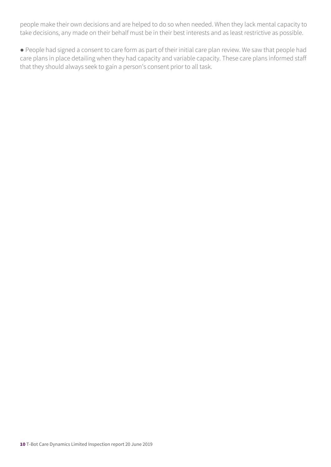people make their own decisions and are helped to do so when needed. When they lack mental capacity to take decisions, any made on their behalf must be in their best interests and as least restrictive as possible.

● People had signed a consent to care form as part of their initial care plan review. We saw that people had care plans in place detailing when they had capacity and variable capacity. These care plans informed staff that they should always seek to gain a person's consent prior to all task.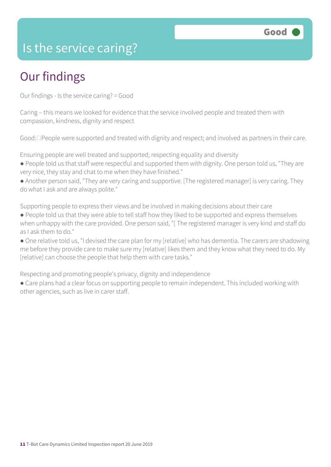#### Is the service caring?

## Our findings

Our findings - Is the service caring? = Good

Caring – this means we looked for evidence that the service involved people and treated them with compassion, kindness, dignity and respect

Good:  $\Box$  People were supported and treated with dignity and respect; and involved as partners in their care.

Ensuring people are well treated and supported; respecting equality and diversity

● People told us that staff were respectful and supported them with dignity. One person told us, "They are very nice, they stay and chat to me when they have finished."

● Another person said, "They are very caring and supportive. [The registered manager] is very caring. They do what I ask and are always polite."

Supporting people to express their views and be involved in making decisions about their care

● People told us that they were able to tell staff how they liked to be supported and express themselves when unhappy with the care provided. One person said, "[ The registered manager is very kind and staff do as I ask them to do."

● One relative told us, "I devised the care plan for my [relative] who has dementia. The carers are shadowing me before they provide care to make sure my [relative] likes them and they know what they need to do. My [relative] can choose the people that help them with care tasks."

Respecting and promoting people's privacy, dignity and independence

● Care plans had a clear focus on supporting people to remain independent. This included working with other agencies, such as live in carer staff.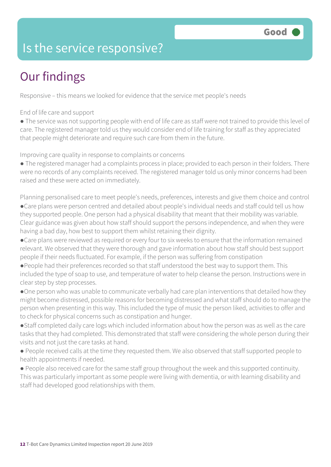### Is the service responsive?

## Our findings

Responsive – this means we looked for evidence that the service met people's needs

End of life care and support

● The service was not supporting people with end of life care as staff were not trained to provide this level of care. The registered manager told us they would consider end of life training for staff as they appreciated that people might deteriorate and require such care from them in the future.

Improving care quality in response to complaints or concerns

● The registered manager had a complaints process in place; provided to each person in their folders. There were no records of any complaints received. The registered manager told us only minor concerns had been raised and these were acted on immediately.

Planning personalised care to meet people's needs, preferences, interests and give them choice and control

●Care plans were person centred and detailed about people's individual needs and staff could tell us how they supported people. One person had a physical disability that meant that their mobility was variable. Clear guidance was given about how staff should support the persons independence, and when they were having a bad day, how best to support them whilst retaining their dignity.

●Care plans were reviewed as required or every four to six weeks to ensure that the information remained relevant. We observed that they were thorough and gave information about how staff should best support people if their needs fluctuated. For example, if the person was suffering from constipation

●People had their preferences recorded so that staff understood the best way to support them. This included the type of soap to use, and temperature of water to help cleanse the person. Instructions were in clear step by step processes.

●One person who was unable to communicate verbally had care plan interventions that detailed how they might become distressed, possible reasons for becoming distressed and what staff should do to manage the person when presenting in this way. This included the type of music the person liked, activities to offer and to check for physical concerns such as constipation and hunger.

●Staff completed daily care logs which included information about how the person was as well as the care tasks that they had completed. This demonstrated that staff were considering the whole person during their visits and not just the care tasks at hand.

● People received calls at the time they requested them. We also observed that staff supported people to health appointments if needed.

● People also received care for the same staff group throughout the week and this supported continuity. This was particularly important as some people were living with dementia, or with learning disability and staff had developed good relationships with them.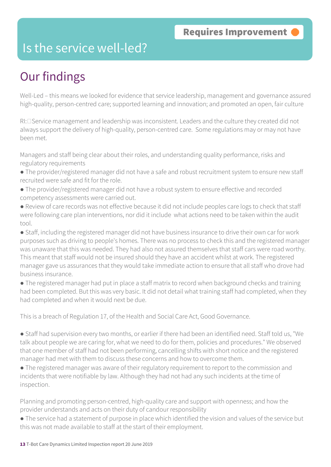#### Is the service well-led?

## Our findings

Well-Led – this means we looked for evidence that service leadership, management and governance assured high-quality, person-centred care; supported learning and innovation; and promoted an open, fair culture

 $RI: \square$  Service management and leadership was inconsistent. Leaders and the culture they created did not always support the delivery of high-quality, person-centred care. Some regulations may or may not have been met.

Managers and staff being clear about their roles, and understanding quality performance, risks and regulatory requirements

- The provider/registered manager did not have a safe and robust recruitment system to ensure new staff recruited were safe and fit for the role.
- The provider/registered manager did not have a robust system to ensure effective and recorded competency assessments were carried out.
- Review of care records was not effective because it did not include peoples care logs to check that staff were following care plan interventions, nor did it include what actions need to be taken within the audit tool.

● Staff, including the registered manager did not have business insurance to drive their own car for work purposes such as driving to people's homes. There was no process to check this and the registered manager was unaware that this was needed. They had also not assured themselves that staff cars were road worthy. This meant that staff would not be insured should they have an accident whilst at work. The registered manager gave us assurances that they would take immediate action to ensure that all staff who drove had business insurance.

● The registered manager had put in place a staff matrix to record when background checks and training had been completed. But this was very basic. It did not detail what training staff had completed, when they had completed and when it would next be due.

This is a breach of Regulation 17, of the Health and Social Care Act, Good Governance.

● Staff had supervision every two months, or earlier if there had been an identified need. Staff told us, "We talk about people we are caring for, what we need to do for them, policies and procedures." We observed that one member of staff had not been performing, cancelling shifts with short notice and the registered manager had met with them to discuss these concerns and how to overcome them.

● The registered manager was aware of their regulatory requirement to report to the commission and incidents that were notifiable by law. Although they had not had any such incidents at the time of inspection.

Planning and promoting person-centred, high-quality care and support with openness; and how the provider understands and acts on their duty of candour responsibility

● The service had a statement of purpose in place which identified the vision and values of the service but this was not made available to staff at the start of their employment.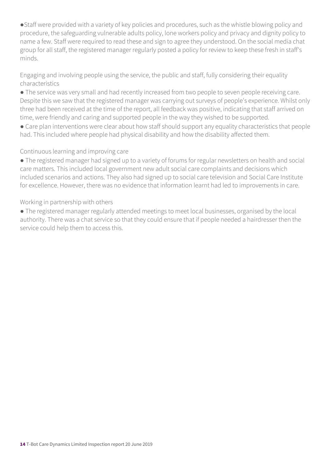●Staff were provided with a variety of key policies and procedures, such as the whistle blowing policy and procedure, the safeguarding vulnerable adults policy, lone workers policy and privacy and dignity policy to name a few. Staff were required to read these and sign to agree they understood. On the social media chat group for all staff, the registered manager regularly posted a policy for review to keep these fresh in staff's minds.

Engaging and involving people using the service, the public and staff, fully considering their equality characteristics

● The service was very small and had recently increased from two people to seven people receiving care. Despite this we saw that the registered manager was carrying out surveys of people's experience. Whilst only three had been received at the time of the report, all feedback was positive, indicating that staff arrived on time, were friendly and caring and supported people in the way they wished to be supported.

● Care plan interventions were clear about how staff should support any equality characteristics that people had. This included where people had physical disability and how the disability affected them.

#### Continuous learning and improving care

● The registered manager had signed up to a variety of forums for regular newsletters on health and social care matters. This included local government new adult social care complaints and decisions which included scenarios and actions. They also had signed up to social care television and Social Care Institute for excellence. However, there was no evidence that information learnt had led to improvements in care.

Working in partnership with others

● The registered manager regularly attended meetings to meet local businesses, organised by the local authority. There was a chat service so that they could ensure that if people needed a hairdresser then the service could help them to access this.